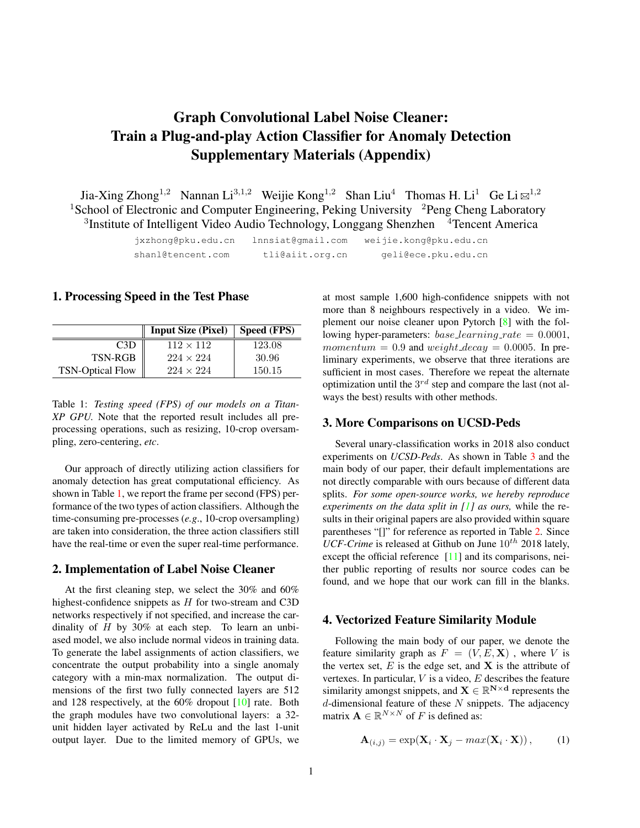# <span id="page-0-2"></span>Graph Convolutional Label Noise Cleaner: Train a Plug-and-play Action Classifier for Anomaly Detection Supplementary Materials (Appendix)

Jia-Xing Zhong<sup>1,2</sup> Nannan Li<sup>3,1,2</sup> Weijie Kong<sup>1,2</sup> Shan Liu<sup>4</sup> Thomas H. Li<sup>1</sup> Ge Li  $\boxtimes$ <sup>1,2</sup> <sup>1</sup>School of Electronic and Computer Engineering, Peking University <sup>2</sup>Peng Cheng Laboratory <sup>3</sup>Institute of Intelligent Video Audio Technology, Longgang Shenzhen <sup>4</sup>Tencent America

> jxzhong@pku.edu.cn lnnsiat@gmail.com weijie.kong@pku.edu.cn shanl@tencent.com tli@aiit.org.cn geli@ece.pku.edu.cn

## 1. Processing Speed in the Test Phase

<span id="page-0-0"></span>

|                         | <b>Input Size (Pixel)</b> | Speed (FPS) |
|-------------------------|---------------------------|-------------|
| C <sub>3</sub> D        | $112 \times 112$          | 123.08      |
| TSN-RGB                 | $224 \times 224$          | -30.96      |
| <b>TSN-Optical Flow</b> | $224 \times 224$          | 150.15      |

Table 1: *Testing speed (FPS) of our models on a Titan-XP GPU.* Note that the reported result includes all preprocessing operations, such as resizing, 10-crop oversampling, zero-centering, *etc*.

Our approach of directly utilizing action classifiers for anomaly detection has great computational efficiency. As shown in Table [1,](#page-0-0) we report the frame per second (FPS) performance of the two types of action classifiers. Although the time-consuming pre-processes (*e.g*., 10-crop oversampling) are taken into consideration, the three action classifiers still have the real-time or even the super real-time performance.

# 2. Implementation of Label Noise Cleaner

At the first cleaning step, we select the 30% and 60% highest-confidence snippets as  $H$  for two-stream and C3D networks respectively if not specified, and increase the cardinality of  $H$  by 30% at each step. To learn an unbiased model, we also include normal videos in training data. To generate the label assignments of action classifiers, we concentrate the output probability into a single anomaly category with a min-max normalization. The output dimensions of the first two fully connected layers are 512 and 128 respectively, at the 60% dropout [\[10\]](#page-2-0) rate. Both the graph modules have two convolutional layers: a 32 unit hidden layer activated by ReLu and the last 1-unit output layer. Due to the limited memory of GPUs, we

at most sample 1,600 high-confidence snippets with not more than 8 neighbours respectively in a video. We implement our noise cleaner upon Pytorch [\[8\]](#page-2-1) with the following hyper-parameters:  $base\_learning\_rate = 0.0001$ , momentum = 0.9 and weight\_decay = 0.0005. In preliminary experiments, we observe that three iterations are sufficient in most cases. Therefore we repeat the alternate optimization until the  $3^{rd}$  step and compare the last (not always the best) results with other methods.

# 3. More Comparisons on UCSD-Peds

Several unary-classification works in 2018 also conduct experiments on *UCSD-Peds*. As shown in Table [3](#page-1-0) and the main body of our paper, their default implementations are not directly comparable with ours because of different data splits. *For some open-source works, we hereby reproduce experiments on the data split in [\[1\]](#page-2-2) as ours,* while the results in their original papers are also provided within square parentheses "[]" for reference as reported in Table [2.](#page-1-1) Since  $UCF-Crime$  is released at Github on June  $10^{th}$  2018 lately, except the official reference [\[11\]](#page-2-3) and its comparisons, neither public reporting of results nor source codes can be found, and we hope that our work can fill in the blanks.

### 4. Vectorized Feature Similarity Module

Following the main body of our paper, we denote the feature similarity graph as  $F = (V, E, \mathbf{X})$ , where V is the vertex set,  $E$  is the edge set, and  $X$  is the attribute of vertexes. In particular,  $V$  is a video,  $E$  describes the feature similarity amongst snippets, and  $\mathbf{X} \in \mathbb{R}^{N \times d}$  represents the  $d$ -dimensional feature of these  $N$  snippets. The adjacency matrix  $\mathbf{A} \in \mathbb{R}^{N \times N}$  of F is defined as:

<span id="page-0-1"></span>
$$
\mathbf{A}_{(i,j)} = \exp(\mathbf{X}_i \cdot \mathbf{X}_j - \max(\mathbf{X}_i \cdot \mathbf{X})), \quad (1)
$$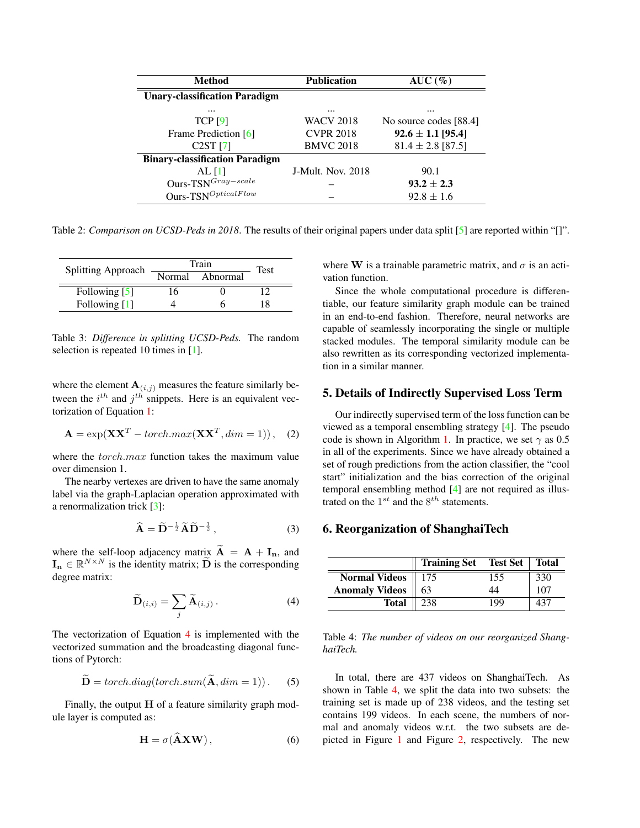<span id="page-1-4"></span><span id="page-1-1"></span>

| <b>Method</b>                         | <b>Publication</b> | AUC(%)                 |  |
|---------------------------------------|--------------------|------------------------|--|
| <b>Unary-classification Paradigm</b>  |                    |                        |  |
| $\cdots$                              | $\cdots$           |                        |  |
| <b>TCP [9]</b>                        | WACV 2018          | No source codes [88.4] |  |
| Frame Prediction [6]                  | <b>CVPR 2018</b>   | $92.6 \pm 1.1$ [95.4]  |  |
| $C2ST$ [7]                            | <b>BMVC 2018</b>   | $81.4 \pm 2.8$ [87.5]  |  |
| <b>Binary-classification Paradigm</b> |                    |                        |  |
| AL [1]                                | J-Mult. Nov. 2018  | 90.1                   |  |
| Ours- $TSN^{Gray-scale}$              |                    | $93.2 \pm 2.3$         |  |
| $Ours-TSNOpticalFlow$                 |                    | $92.8 \pm 1.6$         |  |

Table 2: *Comparison on UCSD-Peds in 2018*. The results of their original papers under data split [\[5\]](#page-2-7) are reported within "[]".

<span id="page-1-0"></span>

| <b>Splitting Approach</b> | Train |                 | Test |
|---------------------------|-------|-----------------|------|
|                           |       | Normal Abnormal |      |
| Following [5]             | 16    |                 |      |
| Following [1]             |       |                 | 18   |

Table 3: *Difference in splitting UCSD-Peds.* The random selection is repeated 10 times in [\[1\]](#page-2-2).

where the element  $A_{(i,j)}$  measures the feature similarly between the  $i^{th}$  and  $j^{th}$  snippets. Here is an equivalent vectorization of Equation [1:](#page-0-1)

$$
\mathbf{A} = \exp(\mathbf{X}\mathbf{X}^T - \text{torch}.\text{max}(\mathbf{X}\mathbf{X}^T, \text{dim} = 1)), \quad (2)
$$

where the *torch.max* function takes the maximum value over dimension 1.

The nearby vertexes are driven to have the same anomaly label via the graph-Laplacian operation approximated with a renormalization trick [\[3\]](#page-2-8):

$$
\widehat{\mathbf{A}} = \widetilde{\mathbf{D}}^{-\frac{1}{2}} \widetilde{\mathbf{A}} \widetilde{\mathbf{D}}^{-\frac{1}{2}},\tag{3}
$$

where the self-loop adjacency matrix  $\tilde{A} = A + I_n$ , and  $\mathbf{I_n} \in \mathbb{R}^{N \times N}$  is the identity matrix;  $\widetilde{\mathbf{D}}$  is the corresponding degree matrix:

<span id="page-1-2"></span>
$$
\widetilde{\mathbf{D}}_{(i,i)} = \sum_{j} \widetilde{\mathbf{A}}_{(i,j)} .
$$
 (4)

The vectorization of Equation [4](#page-1-2) is implemented with the vectorized summation and the broadcasting diagonal functions of Pytorch:

$$
\widetilde{\mathbf{D}} = \text{torch}.diag(\text{torch}.sum(\widetilde{\mathbf{A}}, \text{dim} = 1)).
$$
 (5)

Finally, the output  $H$  of a feature similarity graph module layer is computed as:

$$
\mathbf{H} = \sigma(\hat{\mathbf{A}} \mathbf{X} \mathbf{W}),\tag{6}
$$

where W is a trainable parametric matrix, and  $\sigma$  is an activation function.

Since the whole computational procedure is differentiable, our feature similarity graph module can be trained in an end-to-end fashion. Therefore, neural networks are capable of seamlessly incorporating the single or multiple stacked modules. The temporal similarity module can be also rewritten as its corresponding vectorized implementation in a similar manner.

# 5. Details of Indirectly Supervised Loss Term

Our indirectly supervised term of the loss function can be viewed as a temporal ensembling strategy [\[4\]](#page-2-9). The pseudo code is shown in Algorithm [1.](#page-3-0) In practice, we set  $\gamma$  as 0.5 in all of the experiments. Since we have already obtained a set of rough predictions from the action classifier, the "cool start" initialization and the bias correction of the original temporal ensembling method [\[4\]](#page-2-9) are not required as illustrated on the  $1^{st}$  and the  $8^{th}$  statements.

# 6. Reorganization of ShanghaiTech

<span id="page-1-3"></span>

|                               | Training Set Test Set |     | Total |
|-------------------------------|-----------------------|-----|-------|
| Normal Videos $\parallel$ 175 |                       | 155 | 330   |
| <b>Anomaly Videos</b>         | 63                    | 44  | 107   |
| <b>Total</b>                  | 238                   | 199 |       |

Table 4: *The number of videos on our reorganized ShanghaiTech.*

In total, there are 437 videos on ShanghaiTech. As shown in Table [4,](#page-1-3) we split the data into two subsets: the training set is made up of 238 videos, and the testing set contains 199 videos. In each scene, the numbers of normal and anomaly videos w.r.t. the two subsets are depicted in Figure [1](#page-3-1) and Figure [2,](#page-3-2) respectively. The new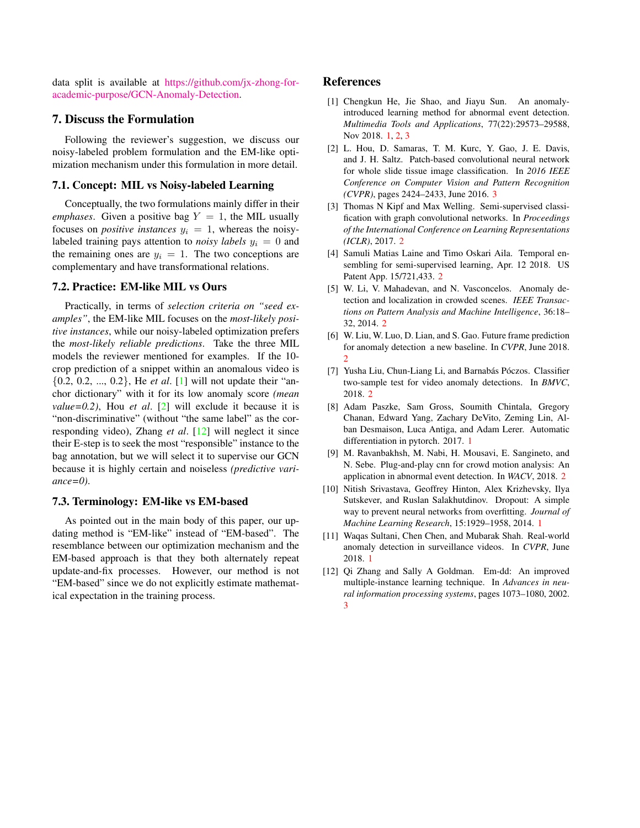<span id="page-2-12"></span>data split is available at [https://github.com/jx-zhong-for](https://github.com/jx-zhong-for-academic-purpose/GCN-Anomaly-Detection)[academic-purpose/GCN-Anomaly-Detection.](https://github.com/jx-zhong-for-academic-purpose/GCN-Anomaly-Detection)

# 7. Discuss the Formulation

Following the reviewer's suggestion, we discuss our noisy-labeled problem formulation and the EM-like optimization mechanism under this formulation in more detail.

#### 7.1. Concept: MIL vs Noisy-labeled Learning

Conceptually, the two formulations mainly differ in their *emphases*. Given a positive bag  $Y = 1$ , the MIL usually focuses on *positive instances*  $y_i = 1$ , whereas the noisylabeled training pays attention to *noisy labels*  $y_i = 0$  and the remaining ones are  $y_i = 1$ . The two conceptions are complementary and have transformational relations.

# 7.2. Practice: EM-like MIL vs Ours

Practically, in terms of *selection criteria on "seed examples"*, the EM-like MIL focuses on the *most-likely positive instances*, while our noisy-labeled optimization prefers the *most-likely reliable predictions*. Take the three MIL models the reviewer mentioned for examples. If the 10 crop prediction of a snippet within an anomalous video is {0.2, 0.2, ..., 0.2}, He *et al*. [\[1\]](#page-2-2) will not update their "anchor dictionary" with it for its low anomaly score *(mean value=0.2)*, Hou *et al*. [\[2\]](#page-2-10) will exclude it because it is "non-discriminative" (without "the same label" as the corresponding video), Zhang *et al*. [\[12\]](#page-2-11) will neglect it since their E-step is to seek the most "responsible" instance to the bag annotation, but we will select it to supervise our GCN because it is highly certain and noiseless *(predictive variance=0)*.

#### 7.3. Terminology: EM-like vs EM-based

As pointed out in the main body of this paper, our updating method is "EM-like" instead of "EM-based". The resemblance between our optimization mechanism and the EM-based approach is that they both alternately repeat update-and-fix processes. However, our method is not "EM-based" since we do not explicitly estimate mathematical expectation in the training process.

# References

- <span id="page-2-2"></span>[1] Chengkun He, Jie Shao, and Jiayu Sun. An anomalyintroduced learning method for abnormal event detection. *Multimedia Tools and Applications*, 77(22):29573–29588, Nov 2018. [1,](#page-0-2) [2,](#page-1-4) [3](#page-2-12)
- <span id="page-2-10"></span>[2] L. Hou, D. Samaras, T. M. Kurc, Y. Gao, J. E. Davis, and J. H. Saltz. Patch-based convolutional neural network for whole slide tissue image classification. In *2016 IEEE Conference on Computer Vision and Pattern Recognition (CVPR)*, pages 2424–2433, June 2016. [3](#page-2-12)
- <span id="page-2-8"></span>[3] Thomas N Kipf and Max Welling. Semi-supervised classification with graph convolutional networks. In *Proceedings of the International Conference on Learning Representations (ICLR)*, 2017. [2](#page-1-4)
- <span id="page-2-9"></span>[4] Samuli Matias Laine and Timo Oskari Aila. Temporal ensembling for semi-supervised learning, Apr. 12 2018. US Patent App. 15/721,433. [2](#page-1-4)
- <span id="page-2-7"></span>[5] W. Li, V. Mahadevan, and N. Vasconcelos. Anomaly detection and localization in crowded scenes. *IEEE Transactions on Pattern Analysis and Machine Intelligence*, 36:18– 32, 2014. [2](#page-1-4)
- <span id="page-2-5"></span>[6] W. Liu, W. Luo, D. Lian, and S. Gao. Future frame prediction for anomaly detection a new baseline. In *CVPR*, June 2018. [2](#page-1-4)
- <span id="page-2-6"></span>[7] Yusha Liu, Chun-Liang Li, and Barnabás Póczos. Classifier two-sample test for video anomaly detections. In *BMVC*, 2018. [2](#page-1-4)
- <span id="page-2-1"></span>[8] Adam Paszke, Sam Gross, Soumith Chintala, Gregory Chanan, Edward Yang, Zachary DeVito, Zeming Lin, Alban Desmaison, Luca Antiga, and Adam Lerer. Automatic differentiation in pytorch. 2017. [1](#page-0-2)
- <span id="page-2-4"></span>[9] M. Ravanbakhsh, M. Nabi, H. Mousavi, E. Sangineto, and N. Sebe. Plug-and-play cnn for crowd motion analysis: An application in abnormal event detection. In *WACV*, 2018. [2](#page-1-4)
- <span id="page-2-0"></span>[10] Nitish Srivastava, Geoffrey Hinton, Alex Krizhevsky, Ilya Sutskever, and Ruslan Salakhutdinov. Dropout: A simple way to prevent neural networks from overfitting. *Journal of Machine Learning Research*, 15:1929–1958, 2014. [1](#page-0-2)
- <span id="page-2-3"></span>[11] Waqas Sultani, Chen Chen, and Mubarak Shah. Real-world anomaly detection in surveillance videos. In *CVPR*, June 2018. [1](#page-0-2)
- <span id="page-2-11"></span>[12] Qi Zhang and Sally A Goldman. Em-dd: An improved multiple-instance learning technique. In *Advances in neural information processing systems*, pages 1073–1080, 2002. [3](#page-2-12)